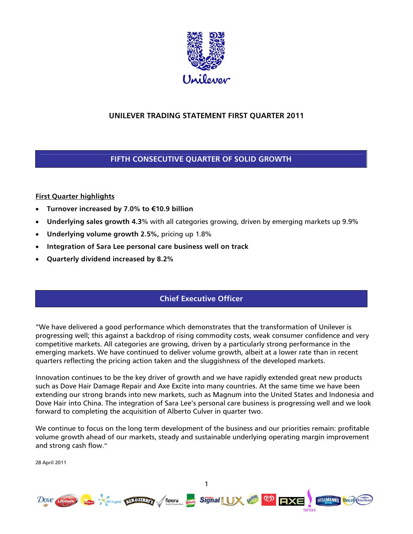

# **UNILEVER TRADING STATEMENT FIRST QUARTER 2011**

# **FIFTH CONSECUTIVE QUARTER OF SOLID GROWTH**

# **First Quarter highlights**

- **Turnover increased by 7.0% to €10.9 billion**
- **Underlying sales growth 4.3**% with all categories growing, driven by emerging markets up 9.9%
- **Underlying volume growth 2.5%,** pricing up 1.8%
- **Integration of Sara Lee personal care business well on track**
- **Quarterly dividend increased by 8.2%**

# **Chief Executive Officer**

"We have delivered a good performance which demonstrates that the transformation of Unilever is progressing well; this against a backdrop of rising commodity costs, weak consumer confidence and very competitive markets. All categories are growing, driven by a particularly strong performance in the emerging markets. We have continued to deliver volume growth, albeit at a lower rate than in recent quarters reflecting the pricing action taken and the sluggishness of the developed markets.

Innovation continues to be the key driver of growth and we have rapidly extended great new products such as Dove Hair Damage Repair and Axe Excite into many countries. At the same time we have been extending our strong brands into new markets, such as Magnum into the United States and Indonesia and Dove Hair into China. The integration of Sara Lee's personal care business is progressing well and we look forward to completing the acquisition of Alberto Culver in quarter two.

We continue to focus on the long term development of the business and our priorities remain: profitable volume growth ahead of our markets, steady and sustainable underlying operating margin improvement and strong cash flow."

28 April 2011

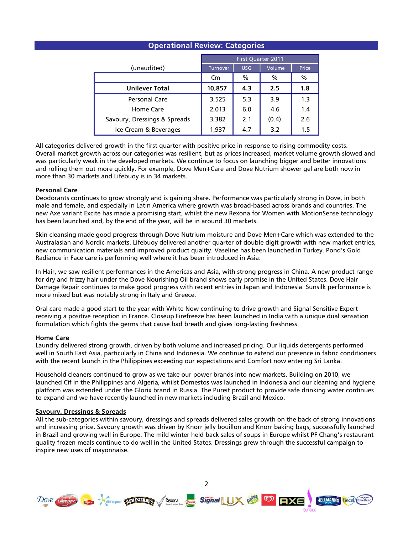|                              | <b>First Quarter 2011</b> |            |        |                |  |
|------------------------------|---------------------------|------------|--------|----------------|--|
| (unaudited)                  | Turnover                  | <b>USG</b> | Volume | Price          |  |
|                              | €m                        | $\%$       | $\%$   | $\%$           |  |
| <b>Unilever Total</b>        | 10,857                    | 4.3        | 2.5    | 1.8            |  |
| Personal Care                | 3,525                     | 5.3        | 3.9    | 1 <sup>3</sup> |  |
| Home Care                    | 2,013                     | 6.0        | 4.6    | 1.4            |  |
| Savoury, Dressings & Spreads | 3,382                     | 2.1        | (0.4)  | 2.6            |  |
| Ice Cream & Beverages        | 1,937                     | 4.7        | 3.2    | 1.5            |  |

# **Operational Review: Categories**

All categories delivered growth in the first quarter with positive price in response to rising commodity costs. Overall market growth across our categories was resilient, but as prices increased, market volume growth slowed and was particularly weak in the developed markets. We continue to focus on launching bigger and better innovations and rolling them out more quickly. For example, Dove Men+Care and Dove Nutrium shower gel are both now in more than 30 markets and Lifebuoy is in 34 markets.

### **Personal Care**

Deodorants continues to grow strongly and is gaining share. Performance was particularly strong in Dove, in both male and female, and especially in Latin America where growth was broad-based across brands and countries. The new Axe variant Excite has made a promising start, whilst the new Rexona for Women with MotionSense technology has been launched and, by the end of the year, will be in around 30 markets.

Skin cleansing made good progress through Dove Nutrium moisture and Dove Men+Care which was extended to the Australasian and Nordic markets. Lifebuoy delivered another quarter of double digit growth with new market entries, new communication materials and improved product quality. Vaseline has been launched in Turkey. Pond's Gold Radiance in Face care is performing well where it has been introduced in Asia.

In Hair, we saw resilient performances in the Americas and Asia, with strong progress in China. A new product range for dry and frizzy hair under the Dove Nourishing Oil brand shows early promise in the United States. Dove Hair Damage Repair continues to make good progress with recent entries in Japan and Indonesia. Sunsilk performance is more mixed but was notably strong in Italy and Greece.

Oral care made a good start to the year with White Now continuing to drive growth and Signal Sensitive Expert receiving a positive reception in France. Closeup Firefreeze has been launched in India with a unique dual sensation formulation which fights the germs that cause bad breath and gives long-lasting freshness.

#### **Home Care**

Laundry delivered strong growth, driven by both volume and increased pricing. Our liquids detergents performed well in South East Asia, particularly in China and Indonesia. We continue to extend our presence in fabric conditioners with the recent launch in the Philippines exceeding our expectations and Comfort now entering Sri Lanka.

Household cleaners continued to grow as we take our power brands into new markets. Building on 2010, we launched Cif in the Philippines and Algeria, whilst Domestos was launched in Indonesia and our cleaning and hygiene platform was extended under the Glorix brand in Russia. The Pureit product to provide safe drinking water continues to expand and we have recently launched in new markets including Brazil and Mexico.

#### **Savoury, Dressings & Spreads**

All the sub-categories within savoury, dressings and spreads delivered sales growth on the back of strong innovations and increasing price. Savoury growth was driven by Knorr jelly bouillon and Knorr baking bags, successfully launched in Brazil and growing well in Europe. The mild winter held back sales of soups in Europe whilst PF Chang's restaurant quality frozen meals continue to do well in the United States. Dressings grew through the successful campaign to inspire new uses of mayonnaise.

2 <mark>ම <sub>FXE</sub></mark> DOVE Lifebuoy, Expton dirt is good ELACJERRY Signal | | Rexona **ELLMANN'S**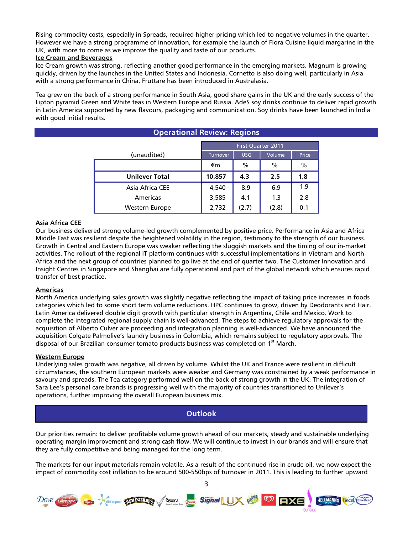Rising commodity costs, especially in Spreads, required higher pricing which led to negative volumes in the quarter. However we have a strong programme of innovation, for example the launch of Flora Cuisine liquid margarine in the UK, with more to come as we improve the quality and taste of our products.

## **Ice Cream and Beverages**

Ice Cream growth was strong, reflecting another good performance in the emerging markets. Magnum is growing quickly, driven by the launches in the United States and Indonesia. Cornetto is also doing well, particularly in Asia with a strong performance in China. Fruttare has been introduced in Australasia.

Tea grew on the back of a strong performance in South Asia, good share gains in the UK and the early success of the Lipton pyramid Green and White teas in Western Europe and Russia. AdeS soy drinks continue to deliver rapid growth in Latin America supported by new flavours, packaging and communication. Soy drinks have been launched in India with good initial results.

| <b>Operational Review: Regions</b> |                           |            |         |       |
|------------------------------------|---------------------------|------------|---------|-------|
|                                    | <b>First Quarter 2011</b> |            |         |       |
| (unaudited)                        | <b>Turnover</b>           | <b>USG</b> | Volume, | Price |
|                                    | €m                        | $\%$       | $\%$    | $\%$  |
| Unilever Total                     | 10,857                    | 4.3        | 2.5     | 1.8   |
| Asia Africa CEE                    | 4,540                     | 8.9        | 6.9     | 1.9   |
| Americas                           | 3,585                     | 4.1        | 1.3     | 2.8   |
| Western Europe                     | 2,732                     | (2.7)      | (2.8)   | 0.1   |

## **Asia Africa CEE**

Our business delivered strong volume-led growth complemented by positive price. Performance in Asia and Africa Middle East was resilient despite the heightened volatility in the region, testimony to the strength of our business. Growth in Central and Eastern Europe was weaker reflecting the sluggish markets and the timing of our in-market activities. The rollout of the regional IT platform continues with successful implementations in Vietnam and North Africa and the next group of countries planned to go live at the end of quarter two. The Customer Innovation and Insight Centres in Singapore and Shanghai are fully operational and part of the global network which ensures rapid transfer of best practice.

### **Americas**

North America underlying sales growth was slightly negative reflecting the impact of taking price increases in foods categories which led to some short term volume reductions. HPC continues to grow, driven by Deodorants and Hair. Latin America delivered double digit growth with particular strength in Argentina, Chile and Mexico. Work to complete the integrated regional supply chain is well-advanced. The steps to achieve regulatory approvals for the acquisition of Alberto Culver are proceeding and integration planning is well-advanced. We have announced the acquisition Colgate Palmolive's laundry business in Colombia, which remains subject to regulatory approvals. The disposal of our Brazilian consumer tomato products business was completed on  $1<sup>st</sup>$  March.

### **Western Europe**

Underlying sales growth was negative, all driven by volume. Whilst the UK and France were resilient in difficult circumstances, the southern European markets were weaker and Germany was constrained by a weak performance in savoury and spreads. The Tea category performed well on the back of strong growth in the UK. The integration of Sara Lee's personal care brands is progressing well with the majority of countries transitioned to Unilever's operations, further improving the overall European business mix.

# **Outlook**

Our priorities remain: to deliver profitable volume growth ahead of our markets, steady and sustainable underlying operating margin improvement and strong cash flow. We will continue to invest in our brands and will ensure that they are fully competitive and being managed for the long term.

The markets for our input materials remain volatile. As a result of the continued rise in crude oil, we now expect the impact of commodity cost inflation to be around 500-550bps of turnover in 2011. This is leading to further upward

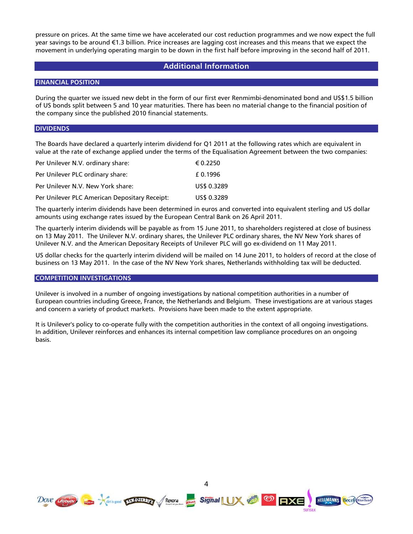pressure on prices. At the same time we have accelerated our cost reduction programmes and we now expect the full year savings to be around €1.3 billion. Price increases are lagging cost increases and this means that we expect the movement in underlying operating margin to be down in the first half before improving in the second half of 2011.

## **Additional Information**

#### **FINANCIAL POSITION**

During the quarter we issued new debt in the form of our first ever Renmimbi-denominated bond and US\$1.5 billion of US bonds split between 5 and 10 year maturities. There has been no material change to the financial position of the company since the published 2010 financial statements.

#### **DIVIDENDS**

The Boards have declared a quarterly interim dividend for Q1 2011 at the following rates which are equivalent in value at the rate of exchange applied under the terms of the Equalisation Agreement between the two companies:

| Per Unilever N.V. ordinary share:             | € 0.2250    |
|-----------------------------------------------|-------------|
| Per Unilever PLC ordinary share:              | £ 0.1996    |
| Per Unilever N.V. New York share:             | US\$ 0.3289 |
| Per Unilever PLC American Depositary Receipt: | US\$ 0.3289 |

The quarterly interim dividends have been determined in euros and converted into equivalent sterling and US dollar amounts using exchange rates issued by the European Central Bank on 26 April 2011.

The quarterly interim dividends will be payable as from 15 June 2011, to shareholders registered at close of business on 13 May 2011. The Unilever N.V. ordinary shares, the Unilever PLC ordinary shares, the NV New York shares of Unilever N.V. and the American Depositary Receipts of Unilever PLC will go ex-dividend on 11 May 2011.

US dollar checks for the quarterly interim dividend will be mailed on 14 June 2011, to holders of record at the close of business on 13 May 2011. In the case of the NV New York shares, Netherlands withholding tax will be deducted.

#### **COMPETITION INVESTIGATIONS**

Unilever is involved in a number of ongoing investigations by national competition authorities in a number of European countries including Greece, France, the Netherlands and Belgium. These investigations are at various stages and concern a variety of product markets. Provisions have been made to the extent appropriate.

It is Unilever's policy to co-operate fully with the competition authorities in the context of all ongoing investigations. In addition, Unilever reinforces and enhances its internal competition law compliance procedures on an ongoing basis.



4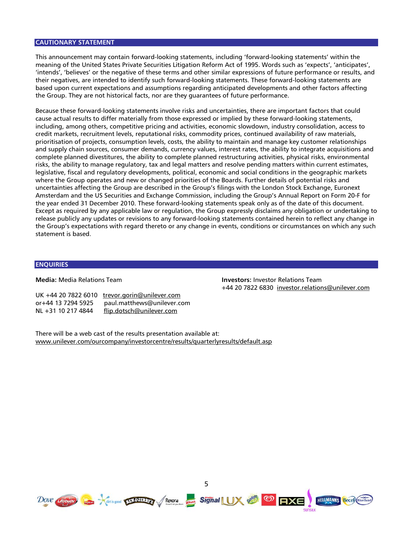### **CAUTIONARY STATEMENT**

This announcement may contain forward-looking statements, including 'forward-looking statements' within the meaning of the United States Private Securities Litigation Reform Act of 1995. Words such as 'expects', 'anticipates', 'intends', 'believes' or the negative of these terms and other similar expressions of future performance or results, and their negatives, are intended to identify such forward-looking statements. These forward-looking statements are based upon current expectations and assumptions regarding anticipated developments and other factors affecting the Group. They are not historical facts, nor are they guarantees of future performance.

Because these forward-looking statements involve risks and uncertainties, there are important factors that could cause actual results to differ materially from those expressed or implied by these forward-looking statements, including, among others, competitive pricing and activities, economic slowdown, industry consolidation, access to credit markets, recruitment levels, reputational risks, commodity prices, continued availability of raw materials, prioritisation of projects, consumption levels, costs, the ability to maintain and manage key customer relationships and supply chain sources, consumer demands, currency values, interest rates, the ability to integrate acquisitions and complete planned divestitures, the ability to complete planned restructuring activities, physical risks, environmental risks, the ability to manage regulatory, tax and legal matters and resolve pending matters within current estimates, legislative, fiscal and regulatory developments, political, economic and social conditions in the geographic markets where the Group operates and new or changed priorities of the Boards. Further details of potential risks and uncertainties affecting the Group are described in the Group's filings with the London Stock Exchange, Euronext Amsterdam and the US Securities and Exchange Commission, including the Group's Annual Report on Form 20-F for the year ended 31 December 2010. These forward-looking statements speak only as of the date of this document. Except as required by any applicable law or regulation, the Group expressly disclaims any obligation or undertaking to release publicly any updates or revisions to any forward-looking statements contained herein to reflect any change in the Group's expectations with regard thereto or any change in events, conditions or circumstances on which any such statement is based.

### **ENQUIRIES**

**Media:** Media Relations Team

|                    | UK +44 20 7822 6010 trevor.gorin@unilever.com |
|--------------------|-----------------------------------------------|
| or+44 13 7294 5925 | paul.matthews@unilever.com                    |
| NL +31 10 217 4844 | flip.dotsch@unilever.com                      |

**Investors:** Investor Relations Team +44 20 7822 6830 investor.relations@unilever.com

There will be a web cast of the results presentation available at: www.unilever.com/ourcompany/investorcentre/results/quarterlyresults/default.asp